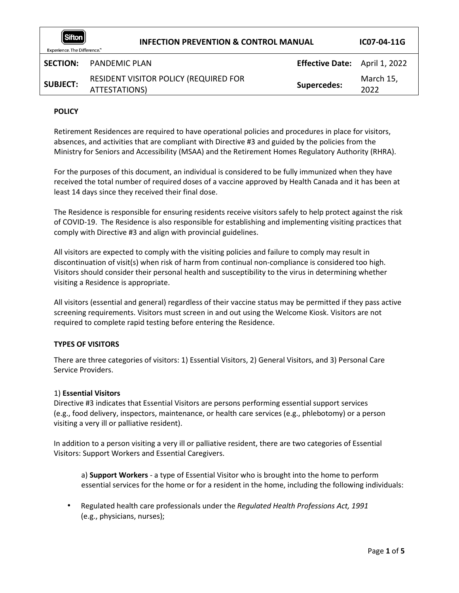| Sifton<br><b>INFECTION PREVENTION &amp; CONTROL MANUAL</b><br>Experience. The Difference." |                                                        | IC07-04-11G                          |                   |
|--------------------------------------------------------------------------------------------|--------------------------------------------------------|--------------------------------------|-------------------|
| <b>SECTION:</b>                                                                            | PANDEMIC PLAN                                          | <b>Effective Date:</b> April 1, 2022 |                   |
| <b>SUBJECT:</b>                                                                            | RESIDENT VISITOR POLICY (REQUIRED FOR<br>ATTESTATIONS) | <b>Supercedes:</b>                   | March 15,<br>2022 |

# **POLICY**

Retirement Residences are required to have operational policies and procedures in place for visitors, absences, and activities that are compliant with Directive #3 and guided by the policies from the Ministry for Seniors and Accessibility (MSAA) and the Retirement Homes Regulatory Authority (RHRA).

For the purposes of this document, an individual is considered to be fully immunized when they have received the total number of required doses of a vaccine approved by Health Canada and it has been at least 14 days since they received their final dose.

The Residence is responsible for ensuring residents receive visitors safely to help protect against the risk of COVID-19. The Residence is also responsible for establishing and implementing visiting practices that comply with Directive #3 and align with provincial guidelines.

All visitors are expected to comply with the visiting policies and failure to comply may result in discontinuation of visit(s) when risk of harm from continual non-compliance is considered too high. Visitors should consider their personal health and susceptibility to the virus in determining whether visiting a Residence is appropriate.

All visitors (essential and general) regardless of their vaccine status may be permitted if they pass active screening requirements. Visitors must screen in and out using the Welcome Kiosk. Visitors are not required to complete rapid testing before entering the Residence.

# **TYPES OF VISITORS**

There are three categories of visitors: 1) Essential Visitors, 2) General Visitors, and 3) Personal Care Service Providers.

# 1) **Essential Visitors**

Directive #3 indicates that Essential Visitors are persons performing essential support services (e.g., food delivery, inspectors, maintenance, or health care services (e.g., phlebotomy) or a person visiting a very ill or palliative resident).

In addition to a person visiting a very ill or palliative resident, there are two categories of Essential Visitors: Support Workers and Essential Caregivers.

a) **Support Workers** - a type of Essential Visitor who is brought into the home to perform essential services for the home or for a resident in the home, including the following individuals:

• Regulated health care professionals under the *Regulated Health Professions Act, 1991*  (e.g., physicians, nurses);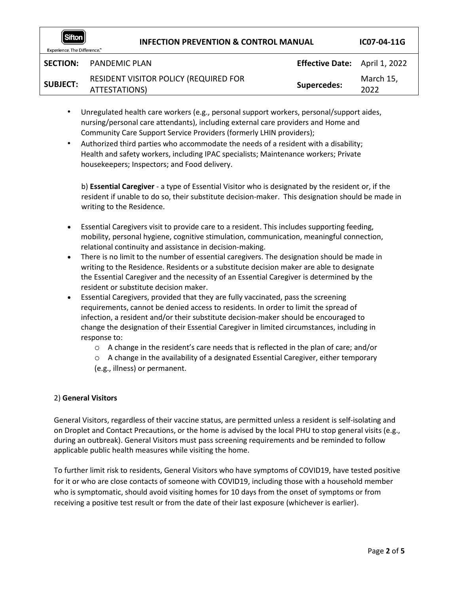| Sifton<br><b>INFECTION PREVENTION &amp; CONTROL MANUAL</b><br>Experience. The Difference." |                                                        | IC07-04-11G                          |                   |
|--------------------------------------------------------------------------------------------|--------------------------------------------------------|--------------------------------------|-------------------|
|                                                                                            | <b>SECTION:</b> PANDEMIC PLAN                          | <b>Effective Date:</b> April 1, 2022 |                   |
| <b>SUBJECT:</b>                                                                            | RESIDENT VISITOR POLICY (REQUIRED FOR<br>ATTESTATIONS) | <b>Supercedes:</b>                   | March 15,<br>2022 |

- Unregulated health care workers (e.g., personal support workers, personal/support aides, nursing/personal care attendants), including external care providers and Home and Community Care Support Service Providers (formerly LHIN providers);
- Authorized third parties who accommodate the needs of a resident with a disability; Health and safety workers, including IPAC specialists; Maintenance workers; Private housekeepers; Inspectors; and Food delivery.

b) **Essential Caregiver** - a type of Essential Visitor who is designated by the resident or, if the resident if unable to do so, their substitute decision-maker. This designation should be made in writing to the Residence.

- Essential Caregivers visit to provide care to a resident. This includes supporting feeding, mobility, personal hygiene, cognitive stimulation, communication, meaningful connection, relational continuity and assistance in decision-making.
- There is no limit to the number of essential caregivers. The designation should be made in writing to the Residence. Residents or a substitute decision maker are able to designate the Essential Caregiver and the necessity of an Essential Caregiver is determined by the resident or substitute decision maker.
- Essential Caregivers, provided that they are fully vaccinated, pass the screening requirements, cannot be denied access to residents. In order to limit the spread of infection, a resident and/or their substitute decision-maker should be encouraged to change the designation of their Essential Caregiver in limited circumstances, including in response to:
	- $\circ$  A change in the resident's care needs that is reflected in the plan of care; and/or
	- o A change in the availability of a designated Essential Caregiver, either temporary (e.g., illness) or permanent.

# 2) **General Visitors**

General Visitors, regardless of their vaccine status, are permitted unless a resident is self-isolating and on Droplet and Contact Precautions, or the home is advised by the local PHU to stop general visits (e.g., during an outbreak). General Visitors must pass screening requirements and be reminded to follow applicable public health measures while visiting the home.

To further limit risk to residents, General Visitors who have symptoms of COVID19, have tested positive for it or who are close contacts of someone with COVID19, including those with a household member who is symptomatic, should avoid visiting homes for 10 days from the onset of symptoms or from receiving a positive test result or from the date of their last exposure (whichever is earlier).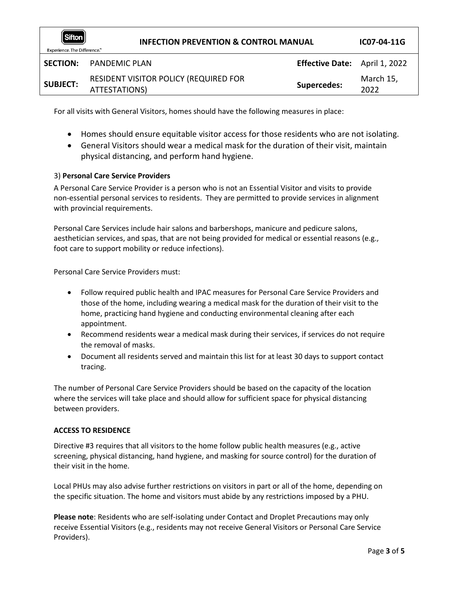| Sifton<br><b>INFECTION PREVENTION &amp; CONTROL MANUAL</b><br>Experience. The Difference." |                                                        | IC07-04-11G                   |                   |
|--------------------------------------------------------------------------------------------|--------------------------------------------------------|-------------------------------|-------------------|
| <b>SECTION:</b>                                                                            | PANDEMIC PLAN                                          | Effective Date: April 1, 2022 |                   |
| <b>SUBJECT:</b>                                                                            | RESIDENT VISITOR POLICY (REQUIRED FOR<br>ATTESTATIONS) | <b>Supercedes:</b>            | March 15,<br>2022 |

For all visits with General Visitors, homes should have the following measures in place:

- Homes should ensure equitable visitor access for those residents who are not isolating.
- General Visitors should wear a medical mask for the duration of their visit, maintain physical distancing, and perform hand hygiene.

# 3) **Personal Care Service Providers**

A Personal Care Service Provider is a person who is not an Essential Visitor and visits to provide non-essential personal services to residents. They are permitted to provide services in alignment with provincial requirements.

Personal Care Services include hair salons and barbershops, manicure and pedicure salons, aesthetician services, and spas, that are not being provided for medical or essential reasons (e.g., foot care to support mobility or reduce infections).

Personal Care Service Providers must:

- Follow required public health and IPAC measures for Personal Care Service Providers and those of the home, including wearing a medical mask for the duration of their visit to the home, practicing hand hygiene and conducting environmental cleaning after each appointment.
- Recommend residents wear a medical mask during their services, if services do not require the removal of masks.
- Document all residents served and maintain this list for at least 30 days to support contact tracing.

The number of Personal Care Service Providers should be based on the capacity of the location where the services will take place and should allow for sufficient space for physical distancing between providers.

#### **ACCESS TO RESIDENCE**

Directive #3 requires that all visitors to the home follow public health measures (e.g., active screening, physical distancing, hand hygiene, and masking for source control) for the duration of their visit in the home.

Local PHUs may also advise further restrictions on visitors in part or all of the home, depending on the specific situation. The home and visitors must abide by any restrictions imposed by a PHU.

**Please note**: Residents who are self-isolating under Contact and Droplet Precautions may only receive Essential Visitors (e.g., residents may not receive General Visitors or Personal Care Service Providers).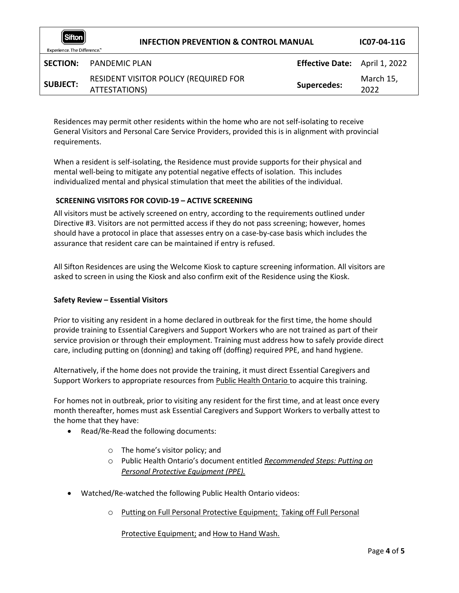| $\bm{\mathsf{\parallel}}$ Sifton $\bm{\mathsf{\parallel}}$<br><b>INFECTION PREVENTION &amp; CONTROL MANUAL</b><br>Experience. The Difference." |                                                        |                               | IC07-04-11G       |
|------------------------------------------------------------------------------------------------------------------------------------------------|--------------------------------------------------------|-------------------------------|-------------------|
| <b>SECTION:</b>                                                                                                                                | <b>PANDEMIC PLAN</b>                                   | Effective Date: April 1, 2022 |                   |
| <b>SUBJECT:</b>                                                                                                                                | RESIDENT VISITOR POLICY (REQUIRED FOR<br>ATTESTATIONS) | <b>Supercedes:</b>            | March 15,<br>2022 |

Residences may permit other residents within the home who are not self-isolating to receive General Visitors and Personal Care Service Providers, provided this is in alignment with provincial requirements.

When a resident is self-isolating, the Residence must provide supports for their physical and mental well-being to mitigate any potential negative effects of isolation. This includes individualized mental and physical stimulation that meet the abilities of the individual.

# **SCREENING VISITORS FOR COVID-19 – ACTIVE SCREENING**

All visitors must be actively screened on entry, according to the requirements outlined under Directive #3. Visitors are not permitted access if they do not pass screening; however, homes should have a protocol in place that assesses entry on a case-by-case basis which includes the assurance that resident care can be maintained if entry is refused.

All Sifton Residences are using the Welcome Kiosk to capture screening information. All visitors are asked to screen in using the Kiosk and also confirm exit of the Residence using the Kiosk.

# **Safety Review – Essential Visitors**

Prior to visiting any resident in a home declared in outbreak for the first time, the home should provide training to Essential Caregivers and Support Workers who are not trained as part of their service provision or through their employment. Training must address how to safely provide direct care, including putting on (donning) and taking off (doffing) required PPE, and hand hygiene.

Alternatively, if the home does not provide the training, it must direct Essential Caregivers and Support Workers to appropriate resources from [Public Health Ontario](https://www.publichealthontario.ca/en/education-and-events/online-learning/ipac-fundamentals) [t](https://www.publichealthontario.ca/en/education-and-events/online-learning/ipac-fundamentals)o acquire this training.

For homes not in outbreak, prior to visiting any resident for the first time, and at least once every month thereafter, homes must ask Essential Caregivers and Support Workers to verbally attest to the home that they have:

- Read/Re-Read the following documents:
	- o The home's visitor policy; and
	- o Public Health Ontario's document entitled *[Recommended Steps:](https://www.publichealthontario.ca/-/media/documents/ncov/ipac/ppe-recommended-steps.pdf?la=en) [Putting on](https://www.publichealthontario.ca/-/media/documents/ncov/ipac/ppe-recommended-steps.pdf?la=en)  [Personal Protective Equipment \(PPE\).](https://www.publichealthontario.ca/-/media/documents/ncov/ipac/ppe-recommended-steps.pdf?la=en)*
- Watched/Re-watched the following Public Health Ontario videos:
	- o [Putting on Full Personal Protective Equipment;](https://www.publichealthontario.ca/en/videos/ipac-fullppe-on) [Taking off Full Personal](https://www.publichealthontario.ca/en/videos/ipac-maskeyes-off)

[Protective Equipment;](https://www.publichealthontario.ca/en/videos/ipac-maskeyes-off) and [How to Hand Wash.](https://www.publichealthontario.ca/en/health-topics/infection-prevention-control/hand-hygiene/jcyh-videos)